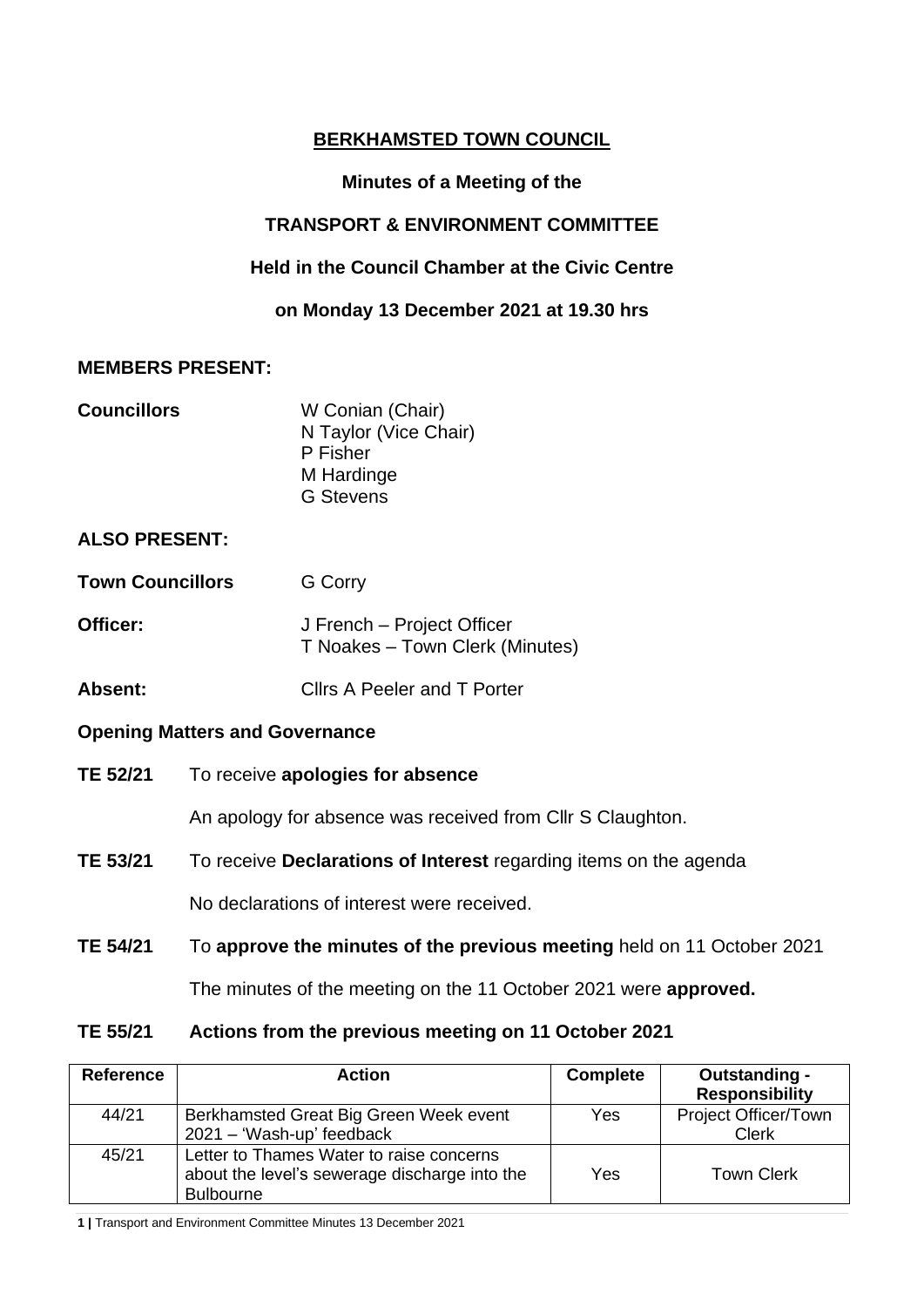# **BERKHAMSTED TOWN COUNCIL**

# **Minutes of a Meeting of the**

# **TRANSPORT & ENVIRONMENT COMMITTEE**

## **Held in the Council Chamber at the Civic Centre**

## **on Monday 13 December 2021 at 19.30 hrs**

## **MEMBERS PRESENT:**

| <b>Councillors</b> | W Conian (Chair)      |
|--------------------|-----------------------|
|                    | N Taylor (Vice Chair) |
|                    | P Fisher              |
|                    | M Hardinge            |
|                    | <b>G</b> Stevens      |

## **ALSO PRESENT:**

| <b>Town Councillors</b> | <b>G</b> Corry                                                |
|-------------------------|---------------------------------------------------------------|
| Officer:                | J French – Project Officer<br>T Noakes - Town Clerk (Minutes) |
|                         |                                                               |

**Absent:** Cllrs A Peeler and T Porter

## **Opening Matters and Governance**

**TE 52/21** To receive **apologies for absence**

An apology for absence was received from Cllr S Claughton.

**TE 53/21** To receive **Declarations of Interest** regarding items on the agenda

No declarations of interest were received.

**TE 54/21** To **approve the minutes of the previous meeting** held on 11 October 2021

The minutes of the meeting on the 11 October 2021 were **approved.**

## **TE 55/21 Actions from the previous meeting on 11 October 2021**

| <b>Reference</b> | <b>Action</b>                                                                                                 | <b>Complete</b> | Outstanding -<br><b>Responsibility</b> |
|------------------|---------------------------------------------------------------------------------------------------------------|-----------------|----------------------------------------|
| 44/21            | Berkhamsted Great Big Green Week event<br>2021 - 'Wash-up' feedback                                           | Yes             | Project Officer/Town<br><b>Clerk</b>   |
| 45/21            | Letter to Thames Water to raise concerns<br>about the level's sewerage discharge into the<br><b>Bulbourne</b> | Yes             | <b>Town Clerk</b>                      |

**1 |** Transport and Environment Committee Minutes 13 December 2021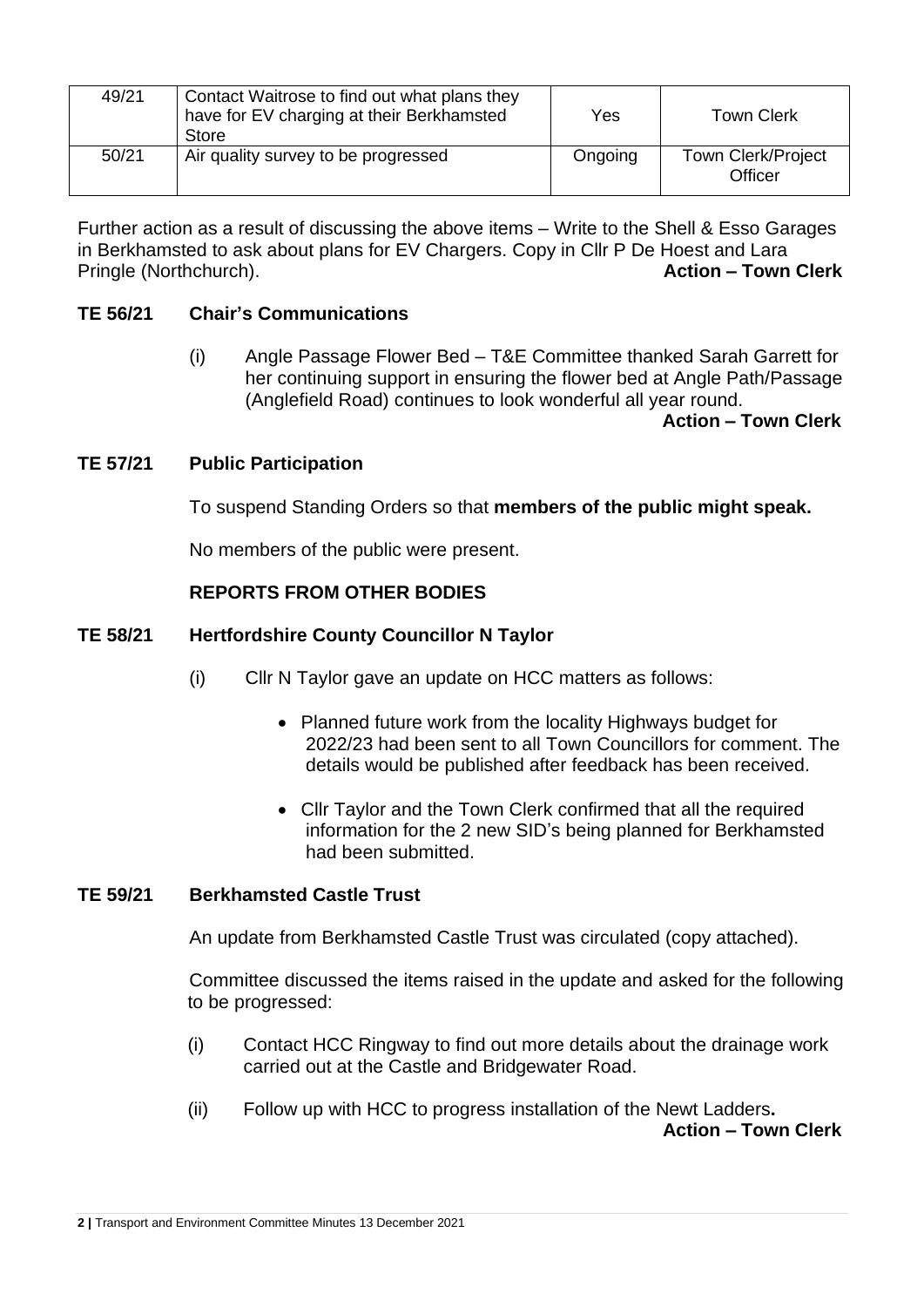| 49/21 | Contact Waitrose to find out what plans they<br>have for EV charging at their Berkhamsted<br>Store | Yes     | <b>Town Clerk</b>                    |
|-------|----------------------------------------------------------------------------------------------------|---------|--------------------------------------|
| 50/21 | Air quality survey to be progressed                                                                | Ongoing | <b>Town Clerk/Project</b><br>Officer |

Further action as a result of discussing the above items – Write to the Shell & Esso Garages in Berkhamsted to ask about plans for EV Chargers. Copy in Cllr P De Hoest and Lara Pringle (Northchurch). **Action – Town Clerk**

## **TE 56/21 Chair's Communications**

(i) Angle Passage Flower Bed – T&E Committee thanked Sarah Garrett for her continuing support in ensuring the flower bed at Angle Path/Passage (Anglefield Road) continues to look wonderful all year round.

 **Action – Town Clerk**

#### **TE 57/21 Public Participation**

To suspend Standing Orders so that **members of the public might speak.**

No members of the public were present.

#### **REPORTS FROM OTHER BODIES**

#### **TE 58/21 Hertfordshire County Councillor N Taylor**

- (i) Cllr N Taylor gave an update on HCC matters as follows:
	- Planned future work from the locality Highways budget for 2022/23 had been sent to all Town Councillors for comment. The details would be published after feedback has been received.
	- Cllr Taylor and the Town Clerk confirmed that all the required information for the 2 new SID's being planned for Berkhamsted had been submitted.

#### **TE 59/21 Berkhamsted Castle Trust**

An update from Berkhamsted Castle Trust was circulated (copy attached).

Committee discussed the items raised in the update and asked for the following to be progressed:

- (i) Contact HCC Ringway to find out more details about the drainage work carried out at the Castle and Bridgewater Road.
- (ii) Follow up with HCC to progress installation of the Newt Ladders**. Action – Town Clerk**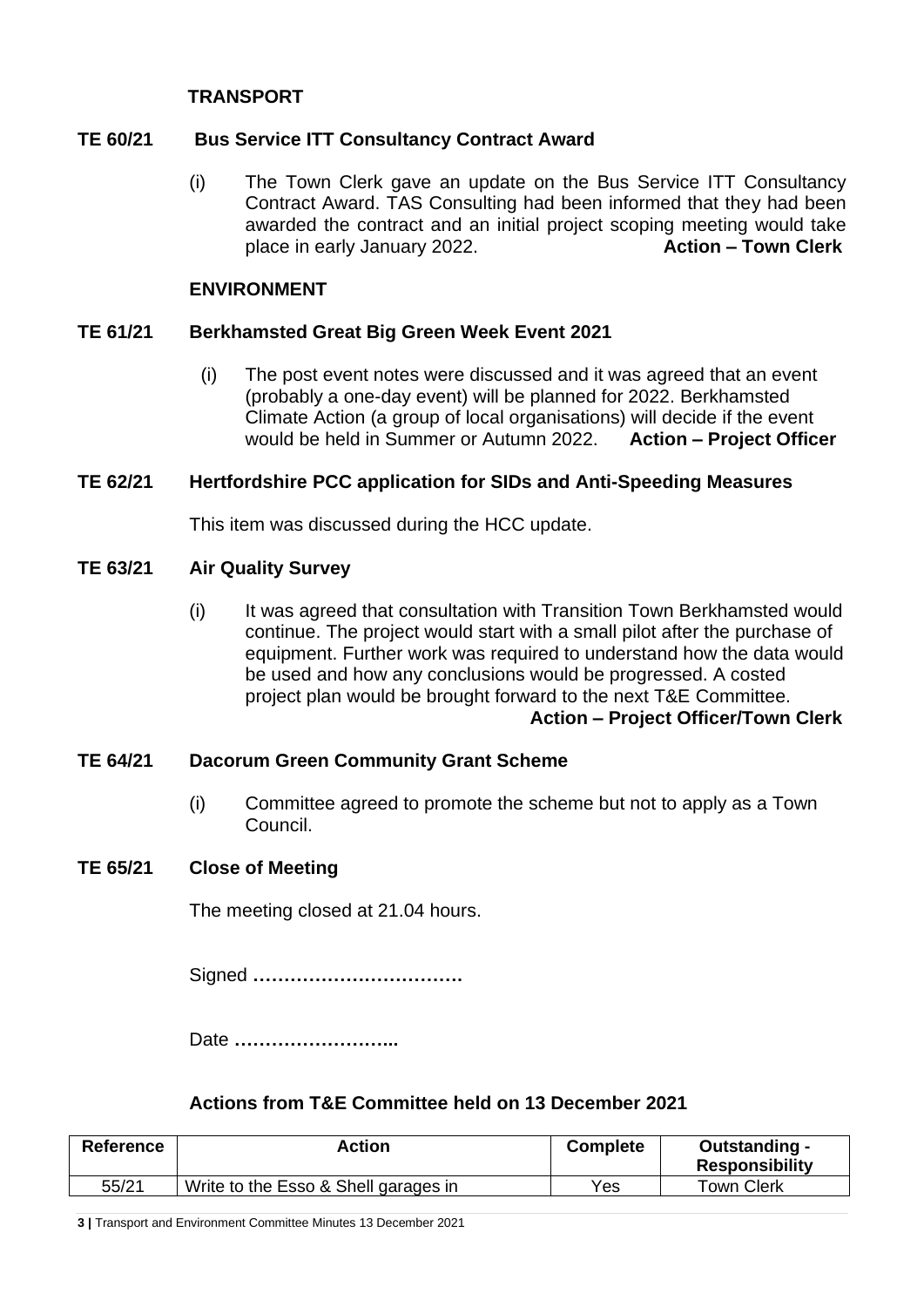## **TRANSPORT**

## **TE 60/21 Bus Service ITT Consultancy Contract Award**

(i) The Town Clerk gave an update on the Bus Service ITT Consultancy Contract Award. TAS Consulting had been informed that they had been awarded the contract and an initial project scoping meeting would take place in early January 2022. **Action – Town Clerk**

#### **ENVIRONMENT**

## **TE 61/21 Berkhamsted Great Big Green Week Event 2021**

(i) The post event notes were discussed and it was agreed that an event (probably a one-day event) will be planned for 2022. Berkhamsted Climate Action (a group of local organisations) will decide if the event would be held in Summer or Autumn 2022. **Action – Project Officer**

## **TE 62/21 Hertfordshire PCC application for SIDs and Anti-Speeding Measures**

This item was discussed during the HCC update.

## **TE 63/21 Air Quality Survey**

(i) It was agreed that consultation with Transition Town Berkhamsted would continue. The project would start with a small pilot after the purchase of equipment. Further work was required to understand how the data would be used and how any conclusions would be progressed. A costed project plan would be brought forward to the next T&E Committee. **Action – Project Officer/Town Clerk**

## **TE 64/21 Dacorum Green Community Grant Scheme**

(i) Committee agreed to promote the scheme but not to apply as a Town Council.

#### **TE 65/21 Close of Meeting**

The meeting closed at 21.04 hours.

Signed **…………………………….**

Date **……………………...**

## **Actions from T&E Committee held on 13 December 2021**

| Reference | Action                               | <b>Complete</b> | Outstanding -<br><b>Responsibility</b> |
|-----------|--------------------------------------|-----------------|----------------------------------------|
| 55/21     | Write to the Esso & Shell garages in | Yes             | Town Clerk                             |

**3 |** Transport and Environment Committee Minutes 13 December 2021